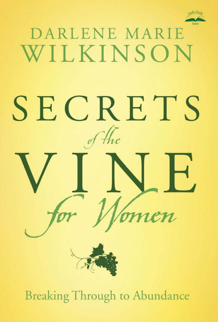

# DARLENE MARIE WILKINSON SECRETS

**Breaking Through to Abundance**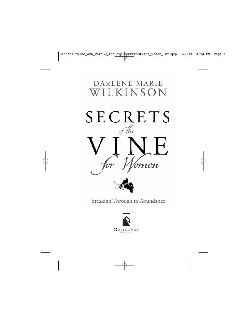# DARLENE MARIE WILKINSON SECRETS of the  $\overline{A}$  ${\it cn}$



Breaking Through to Abundance

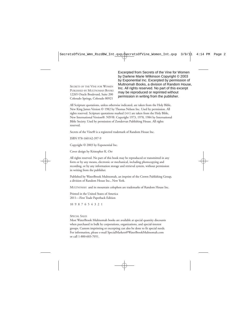SECRETS OF THE VINE FOR WOMEN PUBLISHED BY MULTNOMAH BOOKS 12265 Oracle Boulevard, Suite 200 Colorado Springs, Colorado 80921

Excerpted from Secrets of the Vine for Women by Darlene Marie Wilkinson Copyright © 2003 by Exponential Inc. Excerpted by permission of Multnomah Books, a division of Random House, Inc. All rights reserved. No part of this excerpt may be reproduced or reprinted without permission in writing from the publisher.

All Scripture quotations, unless otherwise indicated, are taken from the Holy Bible, New King James Version © 1982 by Thomas Nelson Inc. Used by permission. All rights reserved. Scripture quotations marked (NIV) are taken from the Holy Bible, New International Version®. NIV®. Copyright 1973, 1978, 1984 by International Bible Society. Used by permission of Zondervan Publishing House. All rights reserved.

Secrets of the Vine® is a registered trademark of Random House Inc.

ISBN 978-160142-397-9

Copyright © 2003 by Exponential Inc.

Cover design by Kristopher K. Orr

All rights reserved. No part of this book may be reproduced or transmitted in any form or by any means, electronic or mechanical, including photocopying and recording, or by any information storage and retrieval system, without permission in writing from the publisher.

Published by WaterBrook Multnomah, an imprint of the Crown Publishing Group, a division of Random House Inc., New York.

MULTNOMAH and its mountain colophon are trademarks of Random House Inc.

Printed in the United States of America 2011—First Trade Paperback Edition

10 9 8 7 6 5 4 3 2 1

### SPECIAL SALES

Most WaterBrook Multnomah books are available at special quantity discounts when purchased in bulk by corporations, organizations, and special-interest groups. Custom imprinting or excerpting can also be done to fit special needs. For information, please e-mail SpecialMarkets@WaterBrookMultnomah.com or call 1-800-603-7051.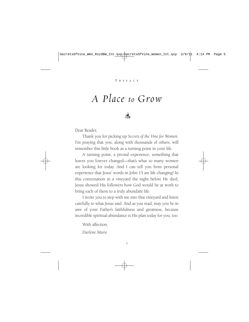# *A Place to Grow*



Dear Reader,

Thank you for picking up *Secrets of the Vine for Women.* I'm praying that you, along with thousands of others, will remember this little book as a turning point in your life.

A turning point, a pivotal experience, something that leaves you forever changed—that's what so many women are looking for today. And I can tell you from personal experience that Jesus' words in John 15 are life changing! In this conversation in a vineyard the night before He died, Jesus showed His followers how God would be at work to bring each of them to a truly abundant life.

I invite you to step with me into that vineyard and listen carefully to what Jesus said. And as you read, may you be in awe of your Father's faithfulness and greatness, because incredible spiritual abundance is His plan today for you, too.

With affection

*Darlene Marie*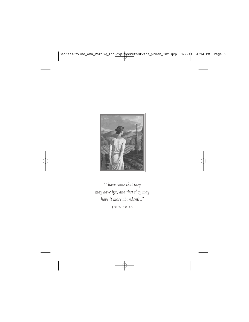

*"I have come that they may have life, and that they may have it more abundantly."* 

John 10:10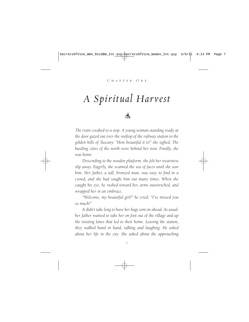# *A Spiritual Harvest*



*The train creaked to a stop. A young woman standing ready at the door gazed out over the rooftop of the railway station to the golden hills of Tuscany. "How beautiful it is!" she sighed. The bustling cities of the north were behind her now. Finally, she was home.*

*Descending to the wooden platform, she felt her weariness slip away. Eagerly, she scanned the sea of faces until she saw him. Her father, a tall, bronzed man, was easy to find in a crowd, and she had sought him out many times. When she caught his eye, he rushed toward her, arms outstretched, and wrapped her in an embrace.*

*"Welcome, my beautiful girl!" he cried. "I've missed you so much!"*

*It didn't take long to have her bags sent on ahead. As usual, her father wanted to take her on foot out of the village and up the twisting lanes that led to their home. Leaving the station, they walked hand in hand, talking and laughing. He asked about her life in the city. She asked about the approaching*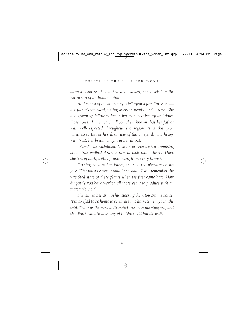*harvest. And as they talked and walked, she reveled in the warm sun of an Italian autumn.*

*At the crest of the hill her eyes fell upon a familiar scene her father's vineyard, rolling away in neatly tended rows. She had grown up following her father as he worked up and down those rows. And since childhood she'd known that her father was well-respected throughout the region as a champion vinedresser. But at her first view of the vineyard, now heavy with fruit, her breath caught in her throat.*

*"Papa!" she exclaimed. "I've never seen such a promising crop!" She walked down a row to look more closely. Huge clusters of dark, satiny grapes hung from every branch.*

*Turning back to her father, she saw the pleasure on his face. "You must be very proud," she said. "I still remember the wretched state of these plants when we first came here. How diligently you have worked all these years to produce such an incredible yield!"*

*She tucked her arm in his, steering them toward the house. "I'm so glad to be home to celebrate this harvest with you!" she said. This was the most anticipated season in the vineyard, and she didn't want to miss any of it. She could hardly wait.*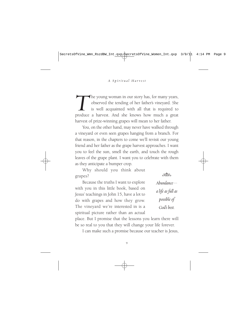The young woman in our story has, for many years, observed the tending of her father's vineyard. She is well acquainted with all that is required to produce a harvest. And she knows how much a great observed the tending of her father's vineyard. She is well acquainted with all that is required to produce a harvest. And she knows how much a great harvest of prize-winning grapes will mean to her father.

You, on the other hand, may never have walked through a vineyard or even seen grapes hanging from a branch. For that reason, in the chapters to come we'll revisit our young friend and her father as the grape harvest approaches. I want you to feel the sun, smell the earth, and touch the rough leaves of the grape plant. I want you to celebrate with them as they anticipate a bumper crop.

Why should you think about grapes?

Because the truths I want to explore with you in this little book, based on Jesus' teachings in John 15, have a lot to do with grapes and how they grow. The vineyard we're interested in is a spiritual picture rather than an actual



*a life as full as possible of God's best.*

place. But I promise that the lessons you learn there will be so real to you that they will change your life forever.

I can make such a promise because our teacher is Jesus,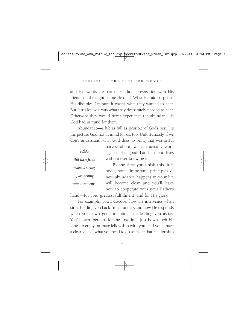and His words are part of His last conversation with His friends on the night before He died. What He said surprised His disciples. I'm sure it wasn't what they wanted to hear. But Jesus knew it was what they desperately needed to hear. Otherwise they would never experience the abundant life God had in mind for them.

Abundance—a life as full as possible of God's best. It's the picture God has in mind for us, too. Unfortunately, if we don't understand what God does to bring that wonderful

 $-322$ *But then Jesus makes a string of disturbing announcements.* harvest about, we can actually work against His good hand in our lives without ever knowing it.

By the time you finish this little book, some important principles of how abundance happens in your life will become clear, and you'll learn how to cooperate with your Father's

hand—for your greatest fulfillment, and for His glory.

For example, you'll discover how He intervenes when sin is holding you back. You'll understand how He responds when your own good intentions are leading you astray. You'll learn, perhaps for the first time, just how much He longs to enjoy intimate fellowship with you, and you'll have a clear idea of what you need to do to make that relationship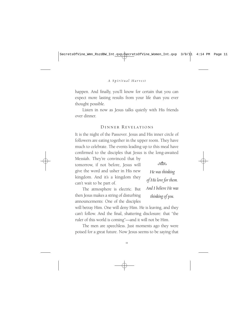happen. And finally, you'll know for certain that you can expect more lasting results from your life than you ever thought possible.

Listen in now as Jesus talks quietly with His friends over dinner.

## Dinner Revelations

It is the night of the Passover. Jesus and His inner circle of followers are eating together in the upper room. They have much to celebrate. The events leading up to this meal have confirmed to the disciples that Jesus is the long-awaited

Messiah. They're convinced that by tomorrow, if not before, Jesus will give the word and usher in His new kingdom. And it's a kingdom they can't wait to be part of.

The atmosphere is electric. But then Jesus makes a string of disturbing announcements: One of the disciples

 $-$ 

*He was thinking of His love for them. And I believe He was thinking of you.*

will betray Him. One will deny Him. He is leaving, and they can't follow. And the final, shattering disclosure: that "the ruler of this world is coming"—and it will not be Him.

The men are speechless. Just moments ago they were poised for a great future. Now Jesus seems to be saying that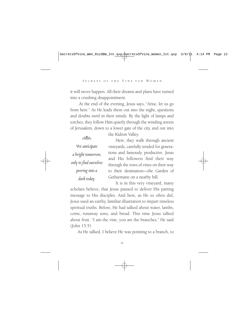it will never happen. All their dreams and plans have turned into a crushing disappointment.

At the end of the evening, Jesus says, "Arise, let us go from here." As He leads them out into the night, questions and doubts swirl in their minds. By the light of lamps and torches, they follow Him quietly through the winding streets of Jerusalem, down to a lower gate of the city, and out into

the Kidron Valley.

| We anticipate          |
|------------------------|
| a bright tomorrow,     |
| only to find ourselves |
| peering into a         |
| dark today.            |

 $-388$ 

Here, they walk through ancient vineyards, carefully tended for generations and famously productive. Jesus and His followers find their way through the rows of vines on their way to their destination—the Garden of Gethsemane on a nearby hill.

It is in this very vineyard, many scholars believe, that Jesus paused to deliver His parting message to His disciples. And here, as He so often did, Jesus used an earthy, familiar illustration to impart timeless spiritual truths. Before, He had talked about water, lambs, coins, runaway sons, and bread. This time Jesus talked about fruit. "I am the vine, you are the branches," He said (John 15:5).

As He talked, I believe He was pointing to a branch, to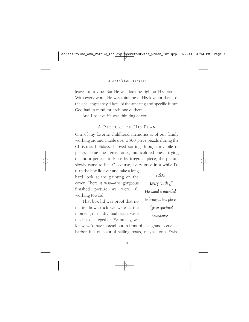leaves, to a vine. But He was looking right at His friends. With every word, He was thinking of His love for them, of the challenges they'd face, of the amazing and specific future God had in mind for each one of them.

And I believe He was thinking of you.

## A Picture of His Plan

One of my favorite childhood memories is of our family working around a table over a 500-piece puzzle during the Christmas holidays. I loved sorting through my pile of pieces—blue ones, green ones, multicolored ones—trying to find a perfect fit. Piece by irregular piece, the picture slowly came to life. Of course, every once in a while I'd

turn the box lid over and take a long hard look at the painting on the cover. There it was—the gorgeous finished picture we were all working toward.

That box lid was proof that no matter how stuck we were at the moment, our individual pieces were made to fit together. Eventually, we **Solen** 

*Every touch of His hand is intended to bring us to a place of great spiritual abundance.*

knew, we'd have spread out in front of us a grand scene—a harbor full of colorful sailing boats, maybe, or a Swiss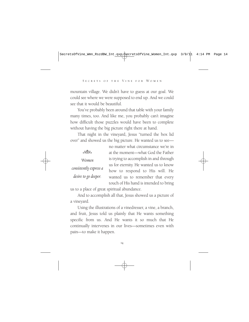mountain village. We didn't have to guess at our goal. We could see where we were supposed to end up. And we could see that it would be beautiful.

You've probably been around that table with your family many times, too. And like me, you probably can't imagine how difficult those puzzles would have been to complete without having the big picture right there at hand.

That night in the vineyard, Jesus "turned the box lid over" and showed us the big picture. He wanted us to see—

|                        | no matter what circumstance we're in   |
|------------------------|----------------------------------------|
| $\sim$                 | at the moment-what God the Father      |
| Women                  | is trying to accomplish in and through |
|                        | us for eternity. He wanted us to know  |
| consistently express a | how to respond to His will. He         |
| desire to go deeper.   | wanted us to remember that every       |
|                        | touch of His hand is intended to bring |
|                        |                                        |

us to a place of great spiritual abundance.

And to accomplish all that, Jesus showed us a picture of a vineyard.

Using the illustrations of a vinedresser, a vine, a branch, and fruit, Jesus told us plainly that He wants something specific from us. And He wants it so much that He continually intervenes in our lives—sometimes even with pain—to make it happen.

14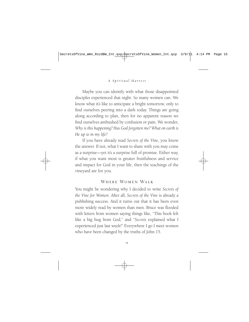Maybe you can identify with what those disappointed disciples experienced that night. So many women can. We know what it's like to anticipate a bright tomorrow, only to find ourselves peering into a dark today. Things are going along according to plan, then for no apparent reason we find ourselves ambushed by confusion or pain. We wonder, *Why is this happening? Has God forgotten me? What on earth is He up to in my life?*

If you have already read *Secrets of the Vine,* you know the answer. If not, what I want to share with you may come as a surprise—yet it's a surprise full of promise. Either way, if what you want most is greater fruitfulness and service and impact for God in your life, then the teachings of the vineyard are for you.

# Where Women Walk

You might be wondering why I decided to write *Secrets of the Vine for Women.* After all, *Secrets of the Vine* is already a publishing success. And it turns out that it has been even more widely read by women than men. Bruce was flooded with letters from women saying things like, "This book felt like a big hug from God," and *"Secrets* explained what I experienced just last week!" Everywhere I go I meet women who have been changed by the truths of John 15.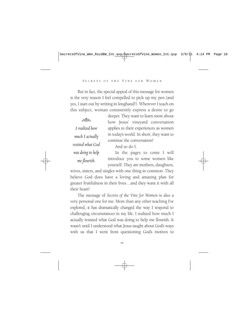But in fact, the special appeal of this message for women is the very reason I feel compelled to pick up my pen (and yes, I start out by writing in longhand!). Wherever I teach on this subject, woman consistently express a desire to go

 $-388$ *I realized how much I actually resisted what God was doing to help me flourish.*

deeper. They want to learn more about how Jesus' vineyard conversation applies to their experiences as women in today's world. In short, they want to continue the conversation!

And so do I.

In the pages to come I will introduce you to some women like yourself. They are mothers, daughters,

wives, sisters, and singles with one thing in common: They believe God does have a loving and amazing plan for greater fruitfulness in their lives…and they want it with all their heart!

The message of *Secrets of the Vine for Women* is also a very personal one for me. More than any other teaching I've explored, it has dramatically changed the way I respond to challenging circumstances in my life. I realized how much I actually resisted what God was doing to help me flourish. It wasn't until I understood what Jesus taught about God's ways with us that I went from questioning God's motives to